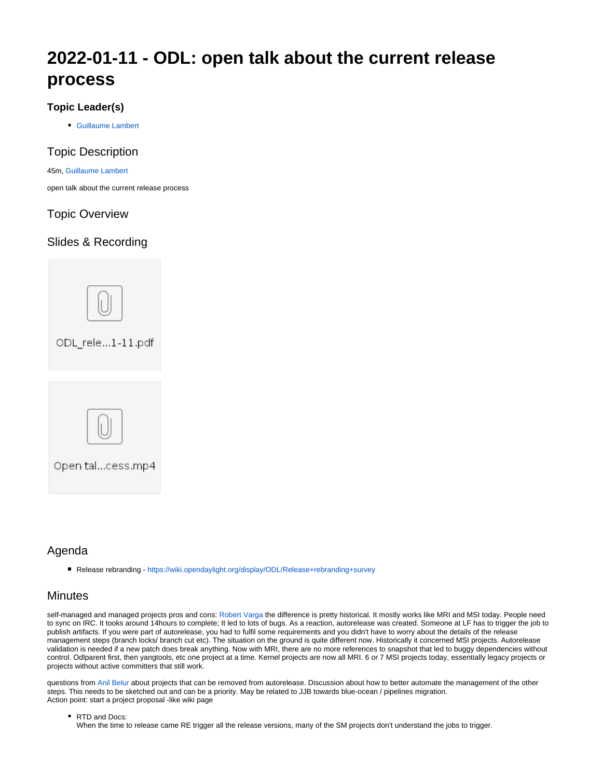# **2022-01-11 - ODL: open talk about the current release process**

#### **Topic Leader(s)**

[Guillaume Lambert](https://wiki.lfnetworking.org/display/~guillaume.lambert)

#### Topic Description

#### 45m, [Guillaume Lambert](https://wiki.lfnetworking.org/display/~guillaume.lambert)

open talk about the current release process

### Topic Overview

### Slides & Recording



## Agenda

■ Release rebranding -<https://wiki.opendaylight.org/display/ODL/Release+rebranding+survey>

### **Minutes**

self-managed and managed projects pros and cons: [Robert Varga](https://wiki.lfnetworking.org/display/~rovarga) the difference is pretty historical. It mostly works like MRI and MSI today. People need to sync on IRC. It tooks around 14hours to complete; It led to lots of bugs. As a reaction, autorelease was created. Someone at LF has to trigger the job to publish artifacts. If you were part of autorelease, you had to fulfil some requirements and you didn't have to worry about the details of the release management steps (branch locks/ branch cut etc). The situation on the ground is quite different now. Historically it concerned MSI projects. Autorelease validation is needed if a new patch does break anything. Now with MRI, there are no more references to snapshot that led to buggy dependencies without control. Odlparent first, then yangtools, etc one project at a time. Kernel projects are now all MRI. 6 or 7 MSI projects today, essentially legacy projects or projects without active committers that still work.

questions from [Anil Belur](https://wiki.lfnetworking.org/display/~askb) about projects that can be removed from autorelease. Discussion about how to better automate the management of the other steps. This needs to be sketched out and can be a priority. May be related to JJB towards blue-ocean / pipelines migration. Action point: start a project proposal -like wiki page

• RTD and Docs: When the time to release came RE trigger all the release versions, many of the SM projects don't understand the jobs to trigger.